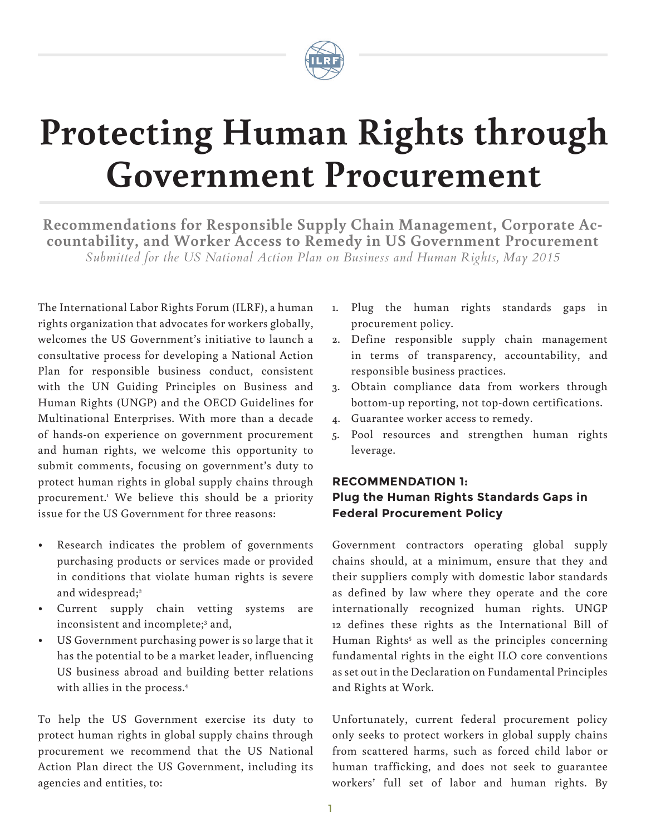

# **Protecting Human Rights through Government Procurement**

**Recommendations for Responsible Supply Chain Management, Corporate Ac- countability, and Worker Access to Remedy in US Government Procurement** *Submitted for the US National Action Plan on Business and Human Rights, May 2015*

The International Labor Rights Forum (ILRF), a human rights organization that advocates for workers globally, welcomes the US Government's initiative to launch a consultative process for developing a National Action Plan for responsible business conduct, consistent with the UN Guiding Principles on Business and Human Rights (UNGP) and the OECD Guidelines for Multinational Enterprises. With more than a decade of hands-on experience on government procurement and human rights, we welcome this opportunity to submit comments, focusing on government's duty to protect human rights in global supply chains through procurement.1 We believe this should be a priority issue for the US Government for three reasons:

- Research indicates the problem of governments purchasing products or services made or provided in conditions that violate human rights is severe and widespread;<sup>2</sup>
- Current supply chain vetting systems are inconsistent and incomplete;<sup>3</sup> and,
- US Government purchasing power is so large that it has the potential to be a market leader, influencing US business abroad and building better relations with allies in the process.4

To help the US Government exercise its duty to protect human rights in global supply chains through procurement we recommend that the US National Action Plan direct the US Government, including its agencies and entities, to:

- 1. Plug the human rights standards gaps in procurement policy.
- 2. Define responsible supply chain management in terms of transparency, accountability, and responsible business practices.
- 3. Obtain compliance data from workers through bottom-up reporting, not top-down certifications.
- 4. Guarantee worker access to remedy.
- 5. Pool resources and strengthen human rights leverage.

# **RECOMMENDATION 1: Plug the Human Rights Standards Gaps in Federal Procurement Policy**

Government contractors operating global supply chains should, at a minimum, ensure that they and their suppliers comply with domestic labor standards as defined by law where they operate and the core internationally recognized human rights. UNGP 12 defines these rights as the International Bill of Human Rights<sup>5</sup> as well as the principles concerning fundamental rights in the eight ILO core conventions as set out in the Declaration on Fundamental Principles and Rights at Work.

Unfortunately, current federal procurement policy only seeks to protect workers in global supply chains from scattered harms, such as forced child labor or human trafficking, and does not seek to guarantee workers' full set of labor and human rights. By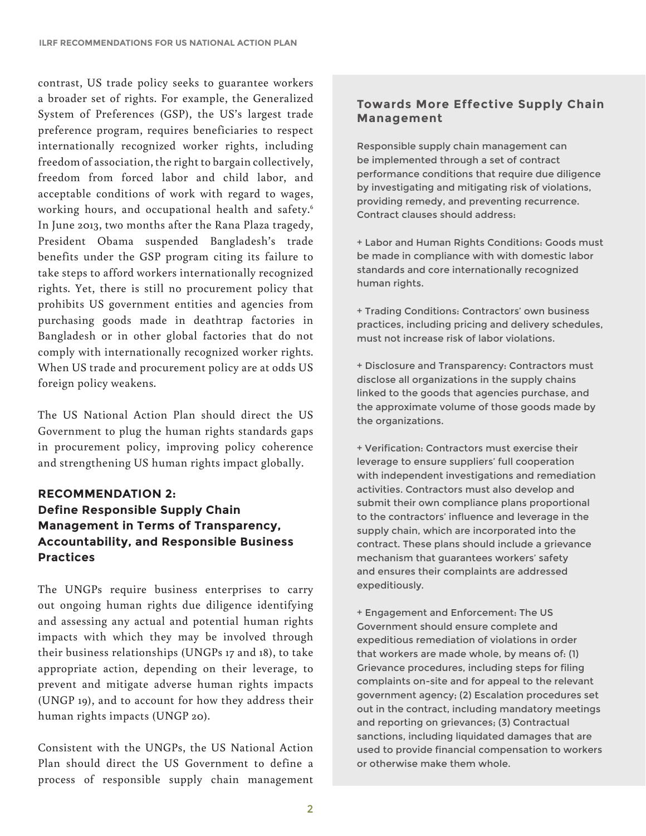contrast, US trade policy seeks to guarantee workers a broader set of rights. For example, the Generalized System of Preferences (GSP), the US's largest trade preference program, requires beneficiaries to respect internationally recognized worker rights, including freedom of association, the right to bargain collectively, freedom from forced labor and child labor, and acceptable conditions of work with regard to wages, working hours, and occupational health and safety.6 In June 2013, two months after the Rana Plaza tragedy, President Obama suspended Bangladesh's trade benefits under the GSP program citing its failure to take steps to afford workers internationally recognized rights. Yet, there is still no procurement policy that prohibits US government entities and agencies from purchasing goods made in deathtrap factories in Bangladesh or in other global factories that do not comply with internationally recognized worker rights. When US trade and procurement policy are at odds US foreign policy weakens.

The US National Action Plan should direct the US Government to plug the human rights standards gaps in procurement policy, improving policy coherence and strengthening US human rights impact globally.

## **RECOMMENDATION 2: Define Responsible Supply Chain Management in Terms of Transparency, Accountability, and Responsible Business Practices**

The UNGPs require business enterprises to carry out ongoing human rights due diligence identifying and assessing any actual and potential human rights impacts with which they may be involved through their business relationships (UNGPs 17 and 18), to take appropriate action, depending on their leverage, to prevent and mitigate adverse human rights impacts (UNGP 19), and to account for how they address their human rights impacts (UNGP 20).

Consistent with the UNGPs, the US National Action Plan should direct the US Government to define a process of responsible supply chain management

#### **Towards More Effective Supply Chain Management**

Responsible supply chain management can be implemented through a set of contract performance conditions that require due diligence by investigating and mitigating risk of violations, providing remedy, and preventing recurrence. Contract clauses should address:

+ Labor and Human Rights Conditions: Goods must be made in compliance with with domestic labor standards and core internationally recognized human rights.

+ Trading Conditions: Contractors' own business practices, including pricing and delivery schedules, must not increase risk of labor violations.

+ Disclosure and Transparency: Contractors must disclose all organizations in the supply chains linked to the goods that agencies purchase, and the approximate volume of those goods made by the organizations.

+ Verification: Contractors must exercise their leverage to ensure suppliers' full cooperation with independent investigations and remediation activities. Contractors must also develop and submit their own compliance plans proportional to the contractors' influence and leverage in the supply chain, which are incorporated into the contract. These plans should include a grievance mechanism that guarantees workers' safety and ensures their complaints are addressed expeditiously.

+ Engagement and Enforcement: The US Government should ensure complete and expeditious remediation of violations in order that workers are made whole, by means of: (1) Grievance procedures, including steps for filing complaints on-site and for appeal to the relevant government agency; (2) Escalation procedures set out in the contract, including mandatory meetings and reporting on grievances; (3) Contractual sanctions, including liquidated damages that are used to provide financial compensation to workers or otherwise make them whole.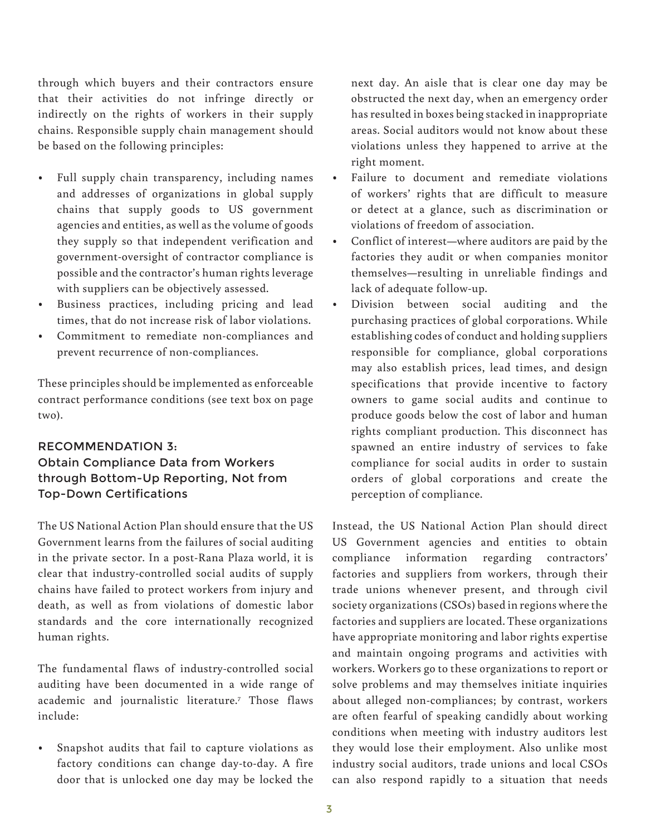through which buyers and their contractors ensure that their activities do not infringe directly or indirectly on the rights of workers in their supply chains. Responsible supply chain management should be based on the following principles:

- Full supply chain transparency, including names and addresses of organizations in global supply chains that supply goods to US government agencies and entities, as well as the volume of goods they supply so that independent verification and government-oversight of contractor compliance is possible and the contractor's human rights leverage with suppliers can be objectively assessed.
- Business practices, including pricing and lead times, that do not increase risk of labor violations.
- Commitment to remediate non-compliances and prevent recurrence of non-compliances.

These principles should be implemented as enforceable contract performance conditions (see text box on page two).

### RECOMMENDATION 3: Obtain Compliance Data from Workers through Bottom-Up Reporting, Not from Top-Down Certifications

The US National Action Plan should ensure that the US Government learns from the failures of social auditing in the private sector. In a post-Rana Plaza world, it is clear that industry-controlled social audits of supply chains have failed to protect workers from injury and death, as well as from violations of domestic labor standards and the core internationally recognized human rights.

The fundamental flaws of industry-controlled social auditing have been documented in a wide range of academic and journalistic literature.7 Those flaws include:

• Snapshot audits that fail to capture violations as factory conditions can change day-to-day. A fire door that is unlocked one day may be locked the next day. An aisle that is clear one day may be obstructed the next day, when an emergency order has resulted in boxes being stacked in inappropriate areas. Social auditors would not know about these violations unless they happened to arrive at the right moment.

- Failure to document and remediate violations of workers' rights that are difficult to measure or detect at a glance, such as discrimination or violations of freedom of association.
- Conflict of interest—where auditors are paid by the factories they audit or when companies monitor themselves—resulting in unreliable findings and lack of adequate follow-up.
- Division between social auditing and the purchasing practices of global corporations. While establishing codes of conduct and holding suppliers responsible for compliance, global corporations may also establish prices, lead times, and design specifications that provide incentive to factory owners to game social audits and continue to produce goods below the cost of labor and human rights compliant production. This disconnect has spawned an entire industry of services to fake compliance for social audits in order to sustain orders of global corporations and create the perception of compliance.

Instead, the US National Action Plan should direct US Government agencies and entities to obtain compliance information regarding contractors' factories and suppliers from workers, through their trade unions whenever present, and through civil society organizations (CSOs) based in regions where the factories and suppliers are located. These organizations have appropriate monitoring and labor rights expertise and maintain ongoing programs and activities with workers. Workers go to these organizations to report or solve problems and may themselves initiate inquiries about alleged non-compliances; by contrast, workers are often fearful of speaking candidly about working conditions when meeting with industry auditors lest they would lose their employment. Also unlike most industry social auditors, trade unions and local CSOs can also respond rapidly to a situation that needs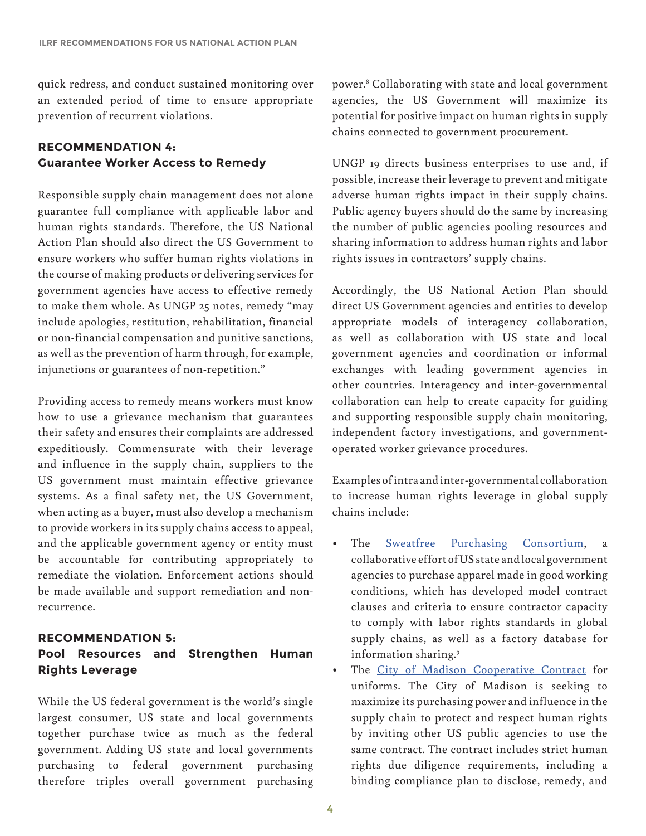quick redress, and conduct sustained monitoring over an extended period of time to ensure appropriate prevention of recurrent violations.

#### **RECOMMENDATION 4: Guarantee Worker Access to Remedy**

Responsible supply chain management does not alone guarantee full compliance with applicable labor and human rights standards. Therefore, the US National Action Plan should also direct the US Government to ensure workers who suffer human rights violations in the course of making products or delivering services for government agencies have access to effective remedy to make them whole. As UNGP 25 notes, remedy "may include apologies, restitution, rehabilitation, financial or non-financial compensation and punitive sanctions, as well as the prevention of harm through, for example, injunctions or guarantees of non-repetition."

Providing access to remedy means workers must know how to use a grievance mechanism that guarantees their safety and ensures their complaints are addressed expeditiously. Commensurate with their leverage and influence in the supply chain, suppliers to the US government must maintain effective grievance systems. As a final safety net, the US Government, when acting as a buyer, must also develop a mechanism to provide workers in its supply chains access to appeal, and the applicable government agency or entity must be accountable for contributing appropriately to remediate the violation. Enforcement actions should be made available and support remediation and nonrecurrence.

## **RECOMMENDATION 5: Pool Resources and Strengthen Human Rights Leverage**

While the US federal government is the world's single largest consumer, US state and local governments together purchase twice as much as the federal government. Adding US state and local governments purchasing to federal government purchasing therefore triples overall government purchasing

power.8 Collaborating with state and local government agencies, the US Government will maximize its potential for positive impact on human rights in supply chains connected to government procurement.

UNGP 19 directs business enterprises to use and, if possible, increase their leverage to prevent and mitigate adverse human rights impact in their supply chains. Public agency buyers should do the same by increasing the number of public agencies pooling resources and sharing information to address human rights and labor rights issues in contractors' supply chains.

Accordingly, the US National Action Plan should direct US Government agencies and entities to develop appropriate models of interagency collaboration, as well as collaboration with US state and local government agencies and coordination or informal exchanges with leading government agencies in other countries. Interagency and inter-governmental collaboration can help to create capacity for guiding and supporting responsible supply chain monitoring, independent factory investigations, and governmentoperated worker grievance procedures.

Examples of intra and inter-governmental collaboration to increase human rights leverage in global supply chains include:

- The [Sweatfree Purchasing Consortium,](http://www.buysweatfree.org) a collaborative effort of US state and local government agencies to purchase apparel made in good working conditions, which has developed model contract clauses and criteria to ensure contractor capacity to comply with labor rights standards in global supply chains, as well as a factory database for information sharing.9
- The [City of Madison Cooperative Contract](http://buysweatfree.org/uniform_management_program) for uniforms. The City of Madison is seeking to maximize its purchasing power and influence in the supply chain to protect and respect human rights by inviting other US public agencies to use the same contract. The contract includes strict human rights due diligence requirements, including a binding compliance plan to disclose, remedy, and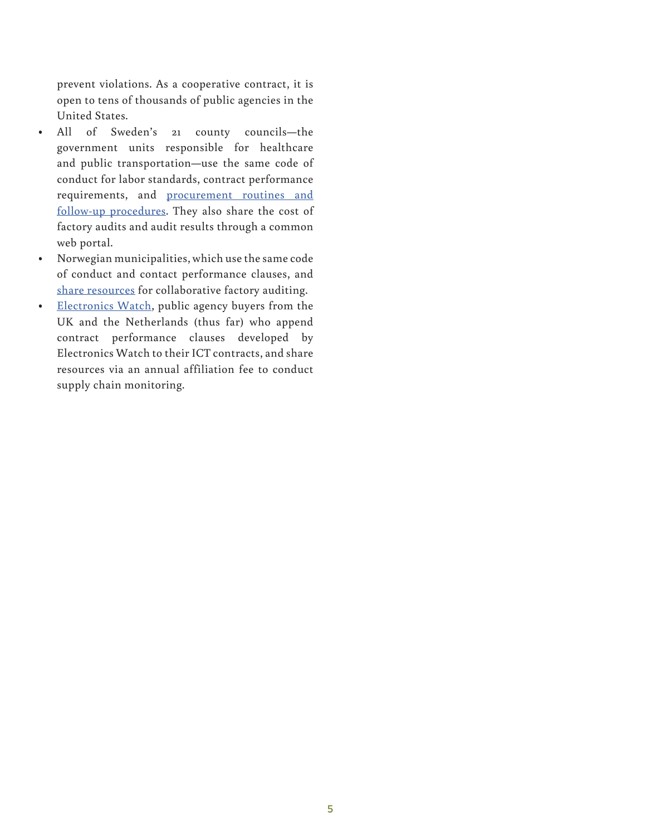prevent violations. As a cooperative contract, it is open to tens of thousands of public agencies in the United States.

- All of Sweden's 21 county councils—the government units responsible for healthcare and public transportation—use the same code of conduct for labor standards, contract performance requirements, and [procurement routines and](http://offentlig.csr-kompassen.se/doc/msr_csr_exempel_bedomningsmall_EN.pdf)  [follow-up procedures](http://offentlig.csr-kompassen.se/doc/msr_csr_exempel_bedomningsmall_EN.pdf). They also share the cost of factory audits and audit results through a common web portal.
- Norwegian municipalities, which use the same code of conduct and contact performance clauses, and [share resources](http://www.anskaffelser.no/sosialt-ansvar/socially-responsible-public-procurement-information-english/high-risk-products) for collaborative factory auditing.
- [Electronics Watch,](http://electronicswatch.org/en/) public agency buyers from the UK and the Netherlands (thus far) who append contract performance clauses developed by Electronics Watch to their ICT contracts, and share resources via an annual affiliation fee to conduct supply chain monitoring.